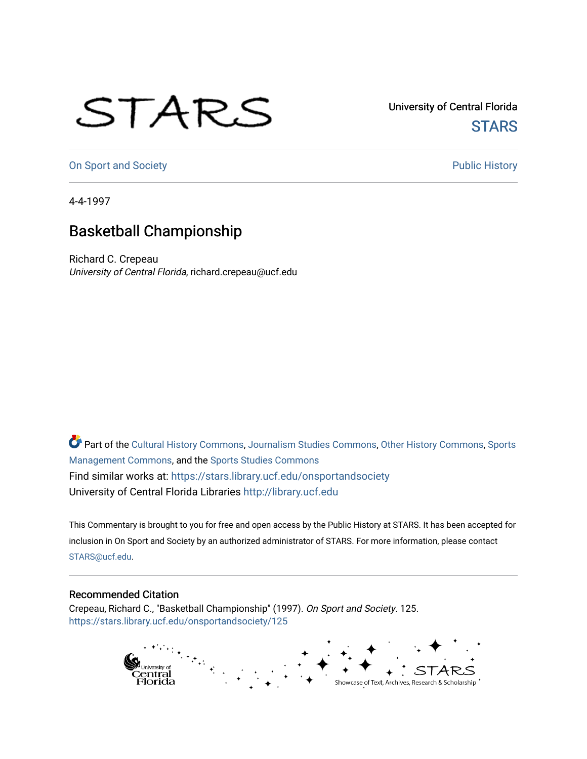## STARS

University of Central Florida **STARS** 

[On Sport and Society](https://stars.library.ucf.edu/onsportandsociety) **Public History** Public History

4-4-1997

## Basketball Championship

Richard C. Crepeau University of Central Florida, richard.crepeau@ucf.edu

Part of the [Cultural History Commons](http://network.bepress.com/hgg/discipline/496?utm_source=stars.library.ucf.edu%2Fonsportandsociety%2F125&utm_medium=PDF&utm_campaign=PDFCoverPages), [Journalism Studies Commons,](http://network.bepress.com/hgg/discipline/333?utm_source=stars.library.ucf.edu%2Fonsportandsociety%2F125&utm_medium=PDF&utm_campaign=PDFCoverPages) [Other History Commons,](http://network.bepress.com/hgg/discipline/508?utm_source=stars.library.ucf.edu%2Fonsportandsociety%2F125&utm_medium=PDF&utm_campaign=PDFCoverPages) [Sports](http://network.bepress.com/hgg/discipline/1193?utm_source=stars.library.ucf.edu%2Fonsportandsociety%2F125&utm_medium=PDF&utm_campaign=PDFCoverPages) [Management Commons](http://network.bepress.com/hgg/discipline/1193?utm_source=stars.library.ucf.edu%2Fonsportandsociety%2F125&utm_medium=PDF&utm_campaign=PDFCoverPages), and the [Sports Studies Commons](http://network.bepress.com/hgg/discipline/1198?utm_source=stars.library.ucf.edu%2Fonsportandsociety%2F125&utm_medium=PDF&utm_campaign=PDFCoverPages) Find similar works at: <https://stars.library.ucf.edu/onsportandsociety> University of Central Florida Libraries [http://library.ucf.edu](http://library.ucf.edu/) 

This Commentary is brought to you for free and open access by the Public History at STARS. It has been accepted for inclusion in On Sport and Society by an authorized administrator of STARS. For more information, please contact [STARS@ucf.edu](mailto:STARS@ucf.edu).

## Recommended Citation

Crepeau, Richard C., "Basketball Championship" (1997). On Sport and Society. 125. [https://stars.library.ucf.edu/onsportandsociety/125](https://stars.library.ucf.edu/onsportandsociety/125?utm_source=stars.library.ucf.edu%2Fonsportandsociety%2F125&utm_medium=PDF&utm_campaign=PDFCoverPages)

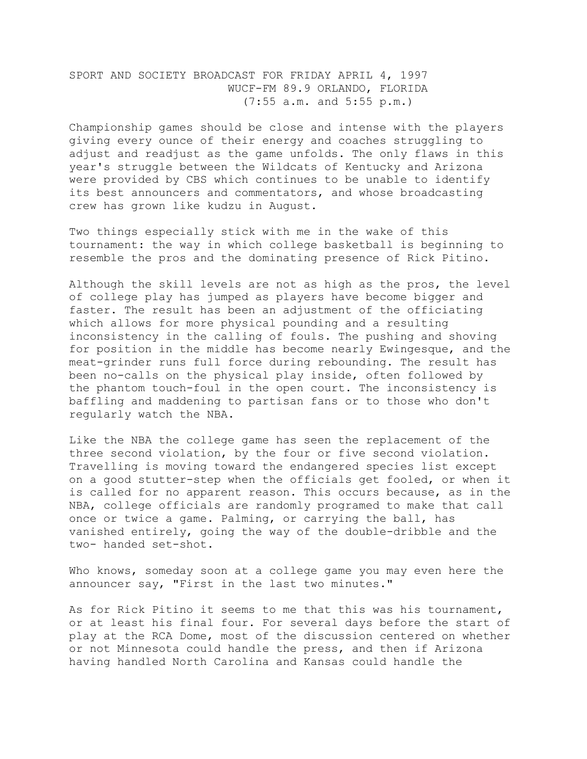SPORT AND SOCIETY BROADCAST FOR FRIDAY APRIL 4, 1997 WUCF-FM 89.9 ORLANDO, FLORIDA (7:55 a.m. and 5:55 p.m.)

Championship games should be close and intense with the players giving every ounce of their energy and coaches struggling to adjust and readjust as the game unfolds. The only flaws in this year's struggle between the Wildcats of Kentucky and Arizona were provided by CBS which continues to be unable to identify its best announcers and commentators, and whose broadcasting crew has grown like kudzu in August.

Two things especially stick with me in the wake of this tournament: the way in which college basketball is beginning to resemble the pros and the dominating presence of Rick Pitino.

Although the skill levels are not as high as the pros, the level of college play has jumped as players have become bigger and faster. The result has been an adjustment of the officiating which allows for more physical pounding and a resulting inconsistency in the calling of fouls. The pushing and shoving for position in the middle has become nearly Ewingesque, and the meat-grinder runs full force during rebounding. The result has been no-calls on the physical play inside, often followed by the phantom touch-foul in the open court. The inconsistency is baffling and maddening to partisan fans or to those who don't regularly watch the NBA.

Like the NBA the college game has seen the replacement of the three second violation, by the four or five second violation. Travelling is moving toward the endangered species list except on a good stutter-step when the officials get fooled, or when it is called for no apparent reason. This occurs because, as in the NBA, college officials are randomly programed to make that call once or twice a game. Palming, or carrying the ball, has vanished entirely, going the way of the double-dribble and the two- handed set-shot.

Who knows, someday soon at a college game you may even here the announcer say, "First in the last two minutes."

As for Rick Pitino it seems to me that this was his tournament, or at least his final four. For several days before the start of play at the RCA Dome, most of the discussion centered on whether or not Minnesota could handle the press, and then if Arizona having handled North Carolina and Kansas could handle the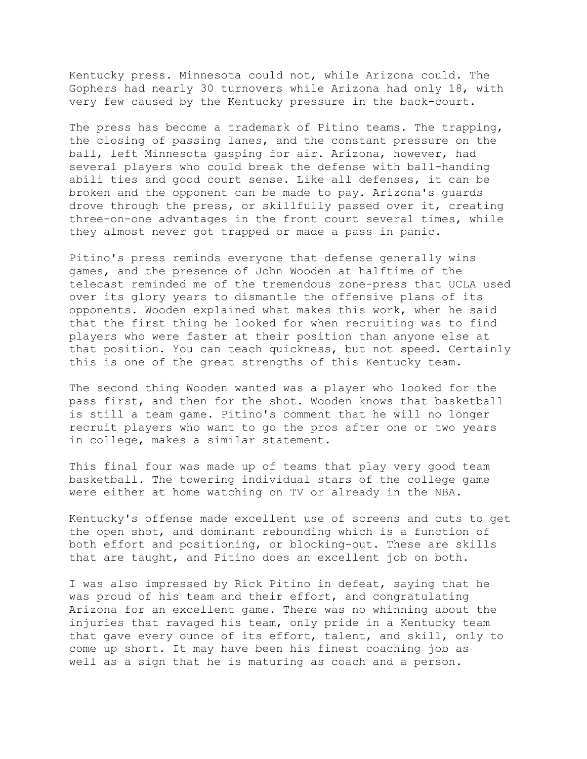Kentucky press. Minnesota could not, while Arizona could. The Gophers had nearly 30 turnovers while Arizona had only 18, with very few caused by the Kentucky pressure in the back-court.

The press has become a trademark of Pitino teams. The trapping, the closing of passing lanes, and the constant pressure on the ball, left Minnesota gasping for air. Arizona, however, had several players who could break the defense with ball-handing abili ties and good court sense. Like all defenses, it can be broken and the opponent can be made to pay. Arizona's guards drove through the press, or skillfully passed over it, creating three-on-one advantages in the front court several times, while they almost never got trapped or made a pass in panic.

Pitino's press reminds everyone that defense generally wins games, and the presence of John Wooden at halftime of the telecast reminded me of the tremendous zone-press that UCLA used over its glory years to dismantle the offensive plans of its opponents. Wooden explained what makes this work, when he said that the first thing he looked for when recruiting was to find players who were faster at their position than anyone else at that position. You can teach quickness, but not speed. Certainly this is one of the great strengths of this Kentucky team.

The second thing Wooden wanted was a player who looked for the pass first, and then for the shot. Wooden knows that basketball is still a team game. Pitino's comment that he will no longer recruit players who want to go the pros after one or two years in college, makes a similar statement.

This final four was made up of teams that play very good team basketball. The towering individual stars of the college game were either at home watching on TV or already in the NBA.

Kentucky's offense made excellent use of screens and cuts to get the open shot, and dominant rebounding which is a function of both effort and positioning, or blocking-out. These are skills that are taught, and Pitino does an excellent job on both.

I was also impressed by Rick Pitino in defeat, saying that he was proud of his team and their effort, and congratulating Arizona for an excellent game. There was no whinning about the injuries that ravaged his team, only pride in a Kentucky team that gave every ounce of its effort, talent, and skill, only to come up short. It may have been his finest coaching job as well as a sign that he is maturing as coach and a person.